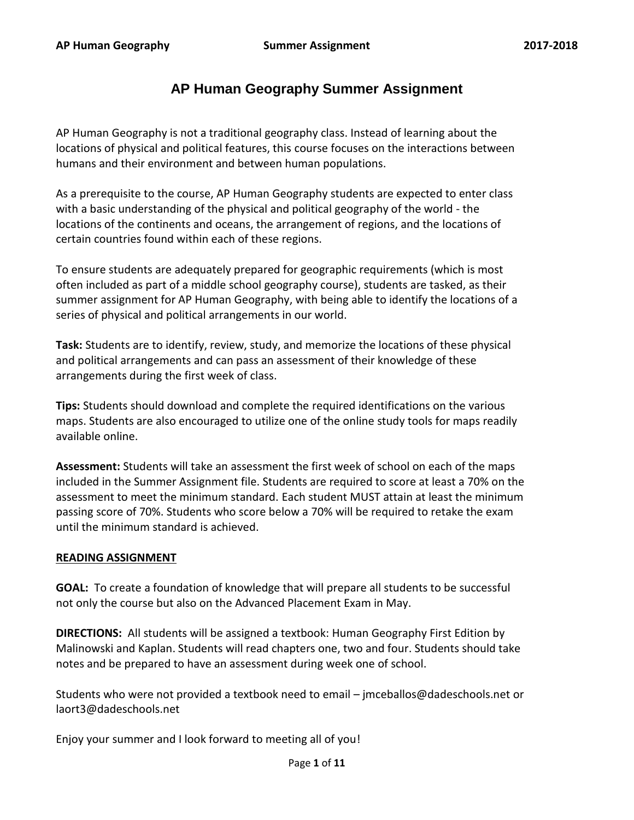# **AP Human Geography Summer Assignment**

AP Human Geography is not a traditional geography class. Instead of learning about the locations of physical and political features, this course focuses on the interactions between humans and their environment and between human populations.

As a prerequisite to the course, AP Human Geography students are expected to enter class with a basic understanding of the physical and political geography of the world - the locations of the continents and oceans, the arrangement of regions, and the locations of certain countries found within each of these regions.

To ensure students are adequately prepared for geographic requirements (which is most often included as part of a middle school geography course), students are tasked, as their summer assignment for AP Human Geography, with being able to identify the locations of a series of physical and political arrangements in our world.

**Task:** Students are to identify, review, study, and memorize the locations of these physical and political arrangements and can pass an assessment of their knowledge of these arrangements during the first week of class.

**Tips:** Students should download and complete the required identifications on the various maps. Students are also encouraged to utilize one of the online study tools for maps readily available online.

**Assessment:** Students will take an assessment the first week of school on each of the maps included in the Summer Assignment file. Students are required to score at least a 70% on the assessment to meet the minimum standard. Each student MUST attain at least the minimum passing score of 70%. Students who score below a 70% will be required to retake the exam until the minimum standard is achieved.

# **READING ASSIGNMENT**

**GOAL:** To create a foundation of knowledge that will prepare all students to be successful not only the course but also on the Advanced Placement Exam in May.

**DIRECTIONS:** All students will be assigned a textbook: Human Geography First Edition by Malinowski and Kaplan. Students will read chapters one, two and four. Students should take notes and be prepared to have an assessment during week one of school.

Students who were not provided a textbook need to email – jmceballos@dadeschools.net or laort3@dadeschools.net

Enjoy your summer and I look forward to meeting all of you!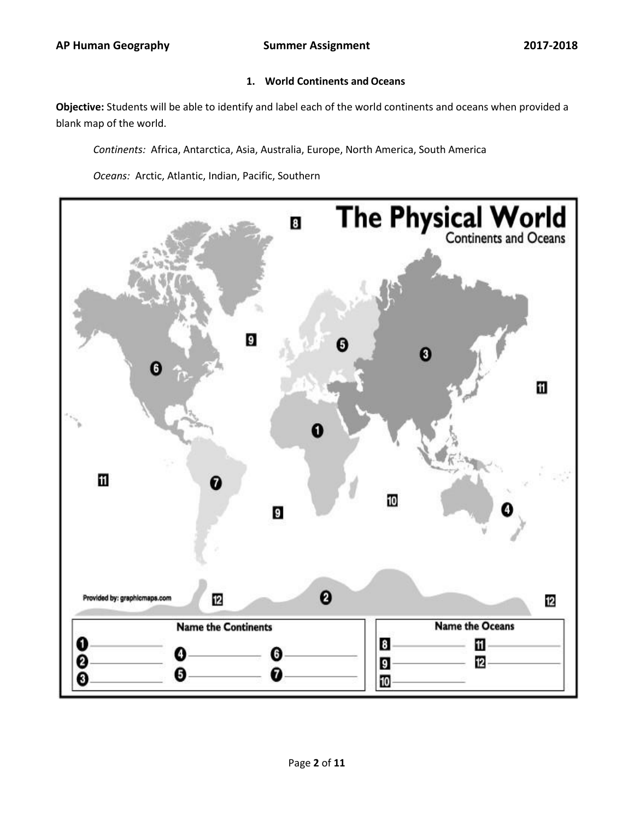## **1. World Continents and Oceans**

**Objective:** Students will be able to identify and label each of the world continents and oceans when provided a blank map of the world.

*Continents:* Africa, Antarctica, Asia, Australia, Europe, North America, South America

*Oceans:* Arctic, Atlantic, Indian, Pacific, Southern

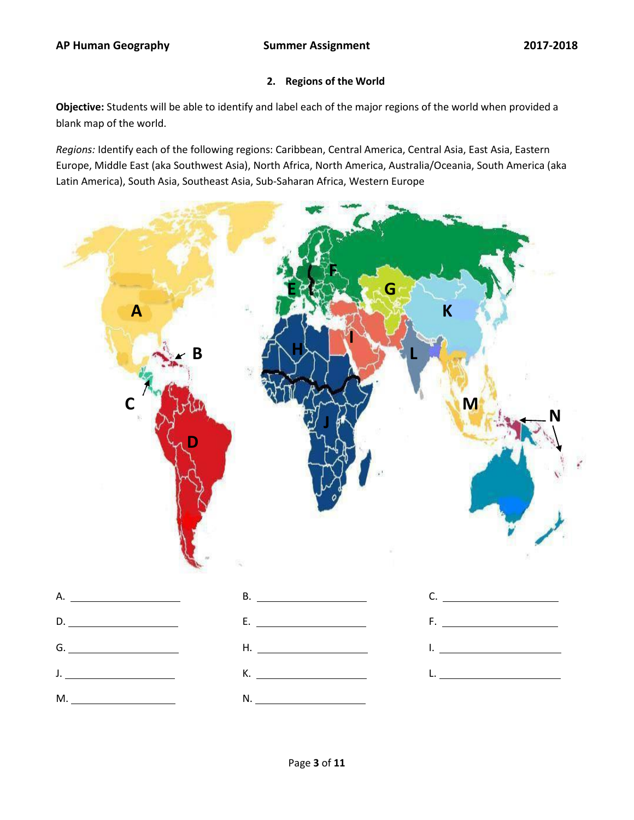#### **2. Regions of the World**

**Objective:** Students will be able to identify and label each of the major regions of the world when provided a blank map of the world.

*Regions:* Identify each of the following regions: Caribbean, Central America, Central Asia, East Asia, Eastern Europe, Middle East (aka Southwest Asia), North Africa, North America, Australia/Oceania, South America (aka Latin America), South Asia, Southeast Asia, Sub-Saharan Africa, Western Europe

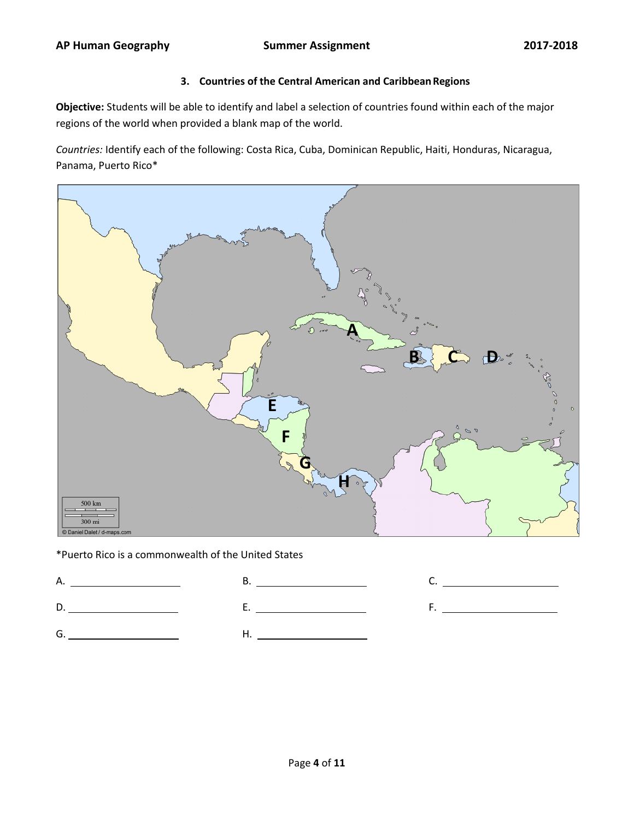# **3. Countries of the Central American and CaribbeanRegions**

**Objective:** Students will be able to identify and label a selection of countries found within each of the major regions of the world when provided a blank map of the world.

*Countries:* Identify each of the following: Costa Rica, Cuba, Dominican Republic, Haiti, Honduras, Nicaragua, Panama, Puerto Rico\*



\*Puerto Rico is a commonwealth of the United States

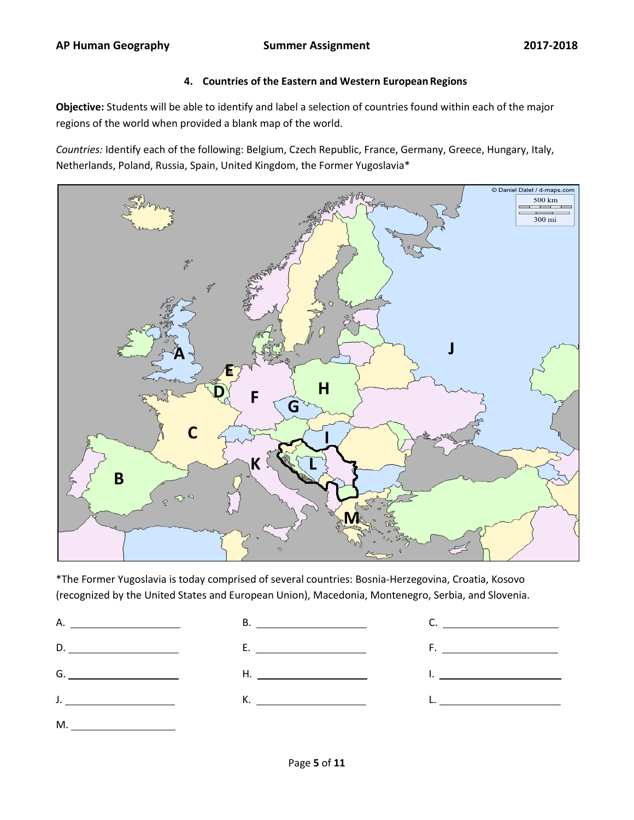#### **4. Countries of the Eastern and Western European Regions**

**Objective:** Students will be able to identify and label a selection of countries found within each of the major regions of the world when provided a blank map of the world.

*Countries:* Identify each of the following: Belgium, Czech Republic, France, Germany, Greece, Hungary, Italy, Netherlands, Poland, Russia, Spain, United Kingdom, the Former Yugoslavia\*



\*The Former Yugoslavia is today comprised of several countries: Bosnia-Herzegovina, Croatia, Kosovo (recognized by the United States and European Union), Macedonia, Montenegro, Serbia, and Slovenia.

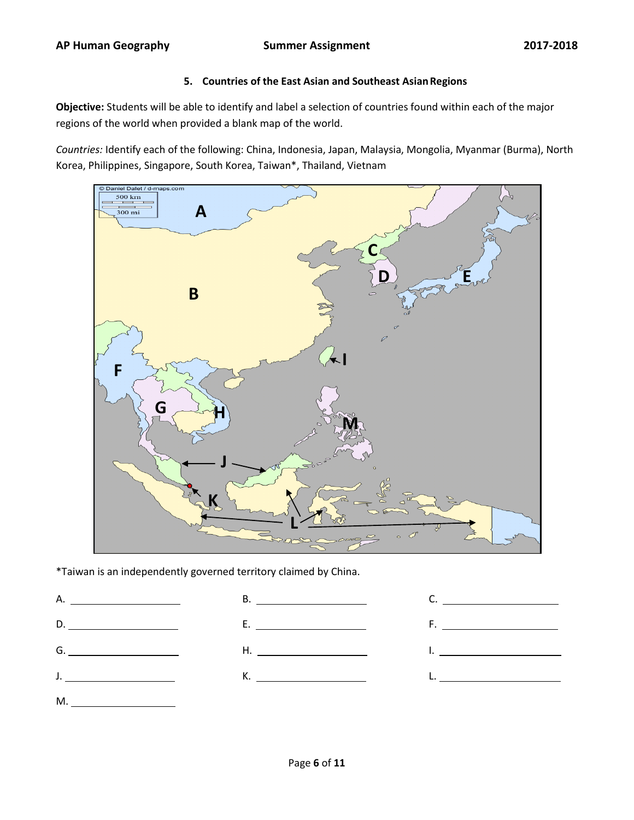#### **5. Countries of the East Asian and Southeast AsianRegions**

**Objective:** Students will be able to identify and label a selection of countries found within each of the major regions of the world when provided a blank map of the world.

*Countries:* Identify each of the following: China, Indonesia, Japan, Malaysia, Mongolia, Myanmar (Burma), North Korea, Philippines, Singapore, South Korea, Taiwan\*, Thailand, Vietnam



\*Taiwan is an independently governed territory claimed by China.

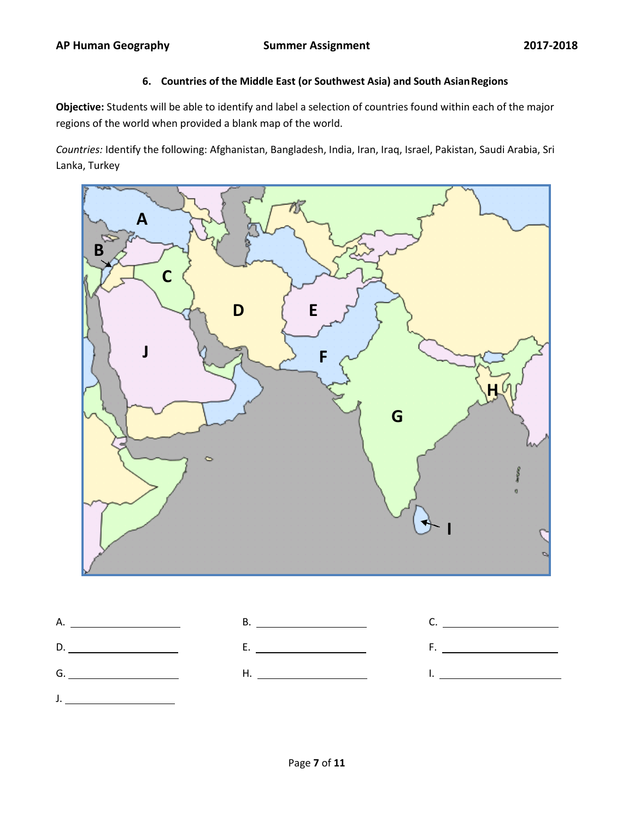# **6. Countries of the Middle East (or Southwest Asia) and South AsianRegions**

**Objective:** Students will be able to identify and label a selection of countries found within each of the major regions of the world when provided a blank map of the world.

*Countries:* Identify the following: Afghanistan, Bangladesh, India, Iran, Iraq, Israel, Pakistan, Saudi Arabia, Sri Lanka, Turkey



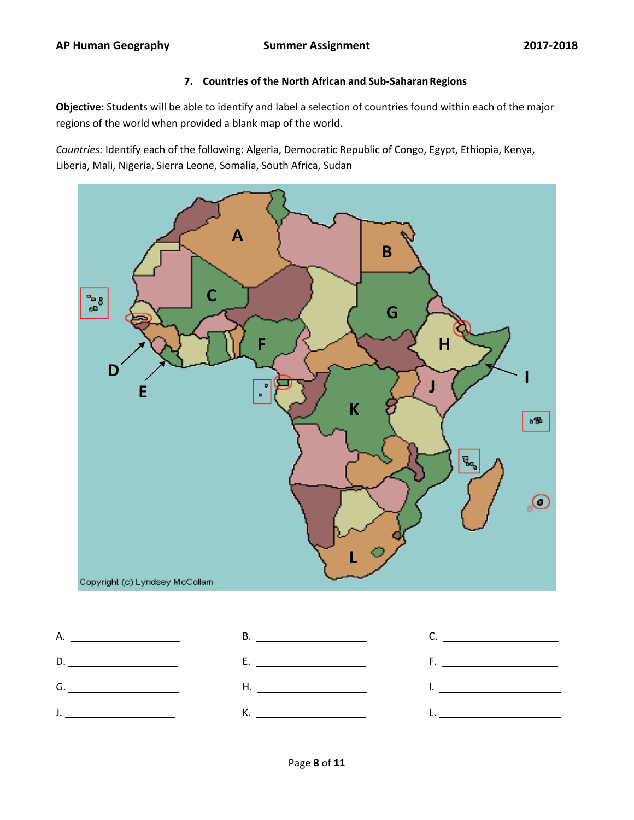## **7. Countries of the North African and Sub-SaharanRegions**

**Objective:** Students will be able to identify and label a selection of countries found within each of the major regions of the world when provided a blank map of the world.

*Countries:* Identify each of the following: Algeria, Democratic Republic of Congo, Egypt, Ethiopia, Kenya, Liberia, Mali, Nigeria, Sierra Leone, Somalia, South Africa, Sudan



| <u>J. _ _ _ _ _ _ _ _ _</u> |  |
|-----------------------------|--|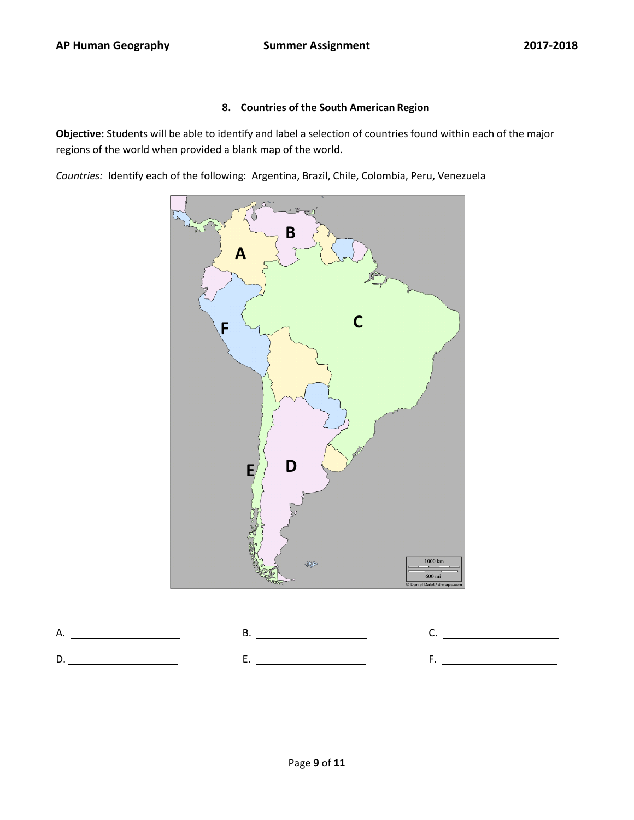#### **8. Countries of the South American Region**

**Objective:** Students will be able to identify and label a selection of countries found within each of the major regions of the world when provided a blank map of the world.

*Countries:* Identify each of the following: Argentina, Brazil, Chile, Colombia, Peru, Venezuela



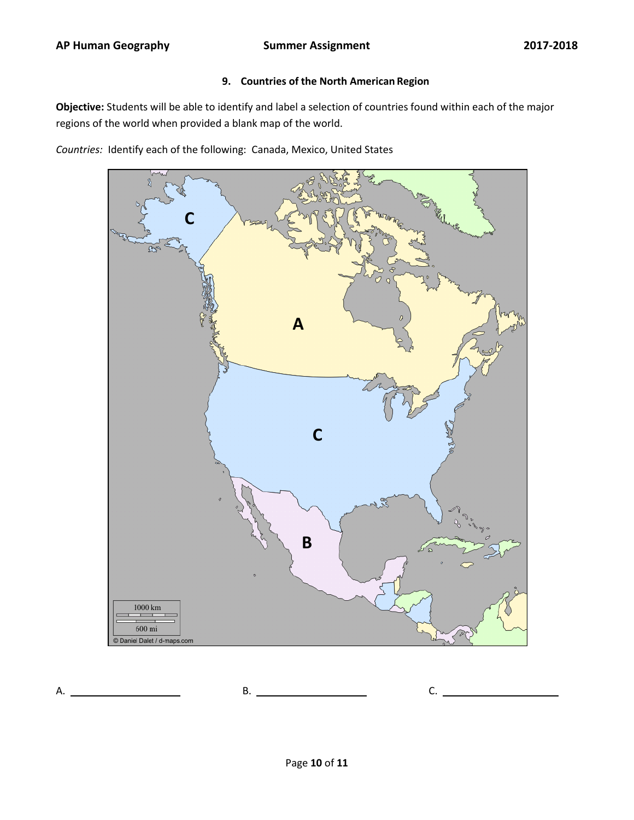## **9. Countries of the North American Region**

**Objective:** Students will be able to identify and label a selection of countries found within each of the major regions of the world when provided a blank map of the world.

*Countries:* Identify each of the following: Canada, Mexico, United States